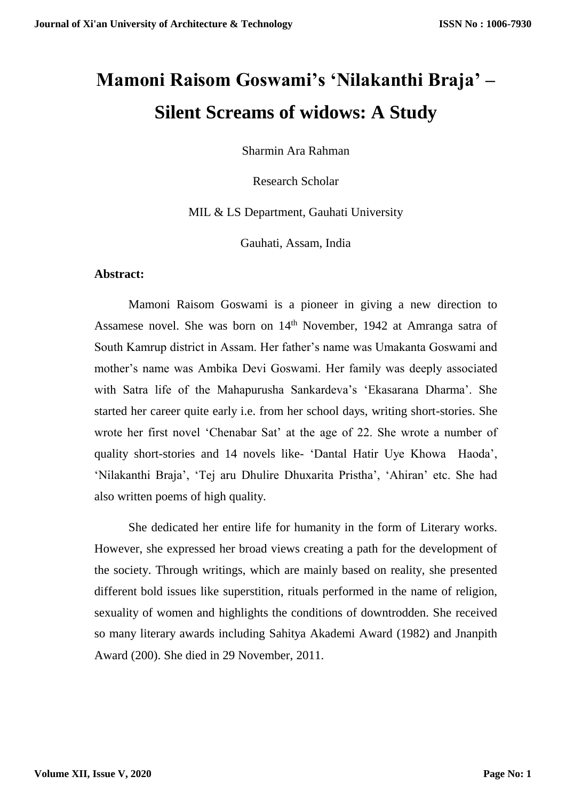# **Mamoni Raisom Goswami's 'Nilakanthi Braja' – Silent Screams of widows: A Study**

Sharmin Ara Rahman

Research Scholar

MIL & LS Department, Gauhati University

Gauhati, Assam, India

#### **Abstract:**

Mamoni Raisom Goswami is a pioneer in giving a new direction to Assamese novel. She was born on 14<sup>th</sup> November, 1942 at Amranga satra of South Kamrup district in Assam. Her father's name was Umakanta Goswami and mother's name was Ambika Devi Goswami. Her family was deeply associated with Satra life of the Mahapurusha Sankardeva's 'Ekasarana Dharma'. She started her career quite early i.e. from her school days, writing short-stories. She wrote her first novel 'Chenabar Sat' at the age of 22. She wrote a number of quality short-stories and 14 novels like- 'Dantal Hatir Uye Khowa Haoda', 'Nilakanthi Braja', 'Tej aru Dhulire Dhuxarita Pristha', 'Ahiran' etc. She had also written poems of high quality.

She dedicated her entire life for humanity in the form of Literary works. However, she expressed her broad views creating a path for the development of the society. Through writings, which are mainly based on reality, she presented different bold issues like superstition, rituals performed in the name of religion, sexuality of women and highlights the conditions of downtrodden. She received so many literary awards including Sahitya Akademi Award (1982) and Jnanpith Award (200). She died in 29 November, 2011.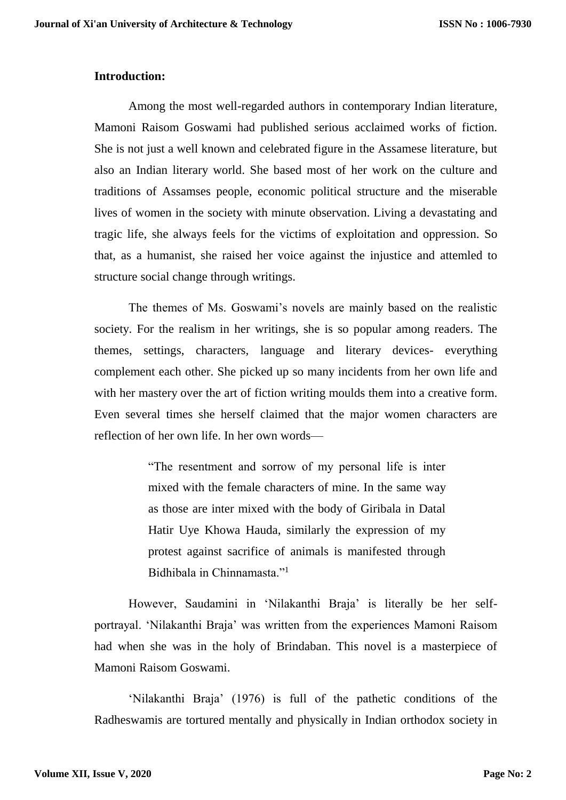### **Introduction:**

Among the most well-regarded authors in contemporary Indian literature, Mamoni Raisom Goswami had published serious acclaimed works of fiction. She is not just a well known and celebrated figure in the Assamese literature, but also an Indian literary world. She based most of her work on the culture and traditions of Assamses people, economic political structure and the miserable lives of women in the society with minute observation. Living a devastating and tragic life, she always feels for the victims of exploitation and oppression. So that, as a humanist, she raised her voice against the injustice and attemled to structure social change through writings.

The themes of Ms. Goswami's novels are mainly based on the realistic society. For the realism in her writings, she is so popular among readers. The themes, settings, characters, language and literary devices- everything complement each other. She picked up so many incidents from her own life and with her mastery over the art of fiction writing moulds them into a creative form. Even several times she herself claimed that the major women characters are reflection of her own life. In her own words—

> "The resentment and sorrow of my personal life is inter mixed with the female characters of mine. In the same way as those are inter mixed with the body of Giribala in Datal Hatir Uye Khowa Hauda, similarly the expression of my protest against sacrifice of animals is manifested through Bidhibala in Chinnamasta."<sup>1</sup>

However, Saudamini in 'Nilakanthi Braja' is literally be her selfportrayal. 'Nilakanthi Braja' was written from the experiences Mamoni Raisom had when she was in the holy of Brindaban. This novel is a masterpiece of Mamoni Raisom Goswami.

'Nilakanthi Braja' (1976) is full of the pathetic conditions of the Radheswamis are tortured mentally and physically in Indian orthodox society in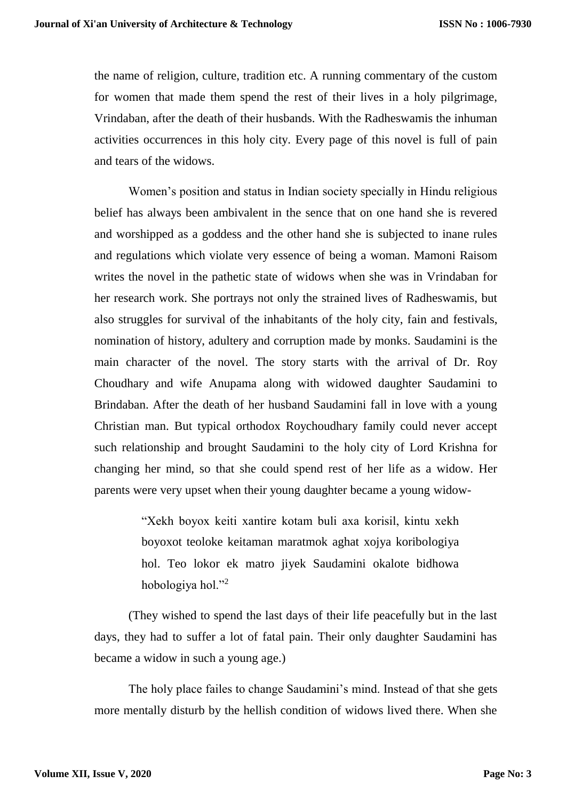the name of religion, culture, tradition etc. A running commentary of the custom for women that made them spend the rest of their lives in a holy pilgrimage, Vrindaban, after the death of their husbands. With the Radheswamis the inhuman activities occurrences in this holy city. Every page of this novel is full of pain and tears of the widows.

Women's position and status in Indian society specially in Hindu religious belief has always been ambivalent in the sence that on one hand she is revered and worshipped as a goddess and the other hand she is subjected to inane rules and regulations which violate very essence of being a woman. Mamoni Raisom writes the novel in the pathetic state of widows when she was in Vrindaban for her research work. She portrays not only the strained lives of Radheswamis, but also struggles for survival of the inhabitants of the holy city, fain and festivals, nomination of history, adultery and corruption made by monks. Saudamini is the main character of the novel. The story starts with the arrival of Dr. Roy Choudhary and wife Anupama along with widowed daughter Saudamini to Brindaban. After the death of her husband Saudamini fall in love with a young Christian man. But typical orthodox Roychoudhary family could never accept such relationship and brought Saudamini to the holy city of Lord Krishna for changing her mind, so that she could spend rest of her life as a widow. Her parents were very upset when their young daughter became a young widow-

> "Xekh boyox keiti xantire kotam buli axa korisil, kintu xekh boyoxot teoloke keitaman maratmok aghat xojya koribologiya hol. Teo lokor ek matro jiyek Saudamini okalote bidhowa hobologiya hol."<sup>2</sup>

(They wished to spend the last days of their life peacefully but in the last days, they had to suffer a lot of fatal pain. Their only daughter Saudamini has became a widow in such a young age.)

The holy place failes to change Saudamini's mind. Instead of that she gets more mentally disturb by the hellish condition of widows lived there. When she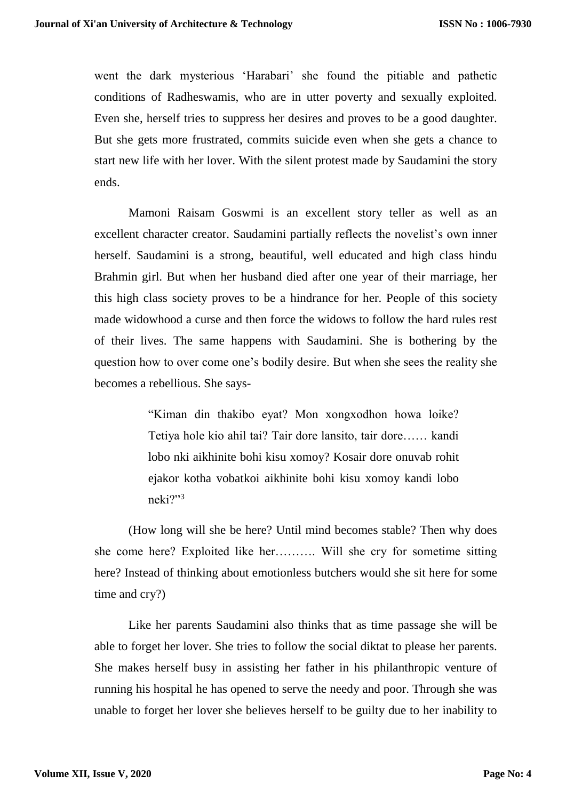went the dark mysterious 'Harabari' she found the pitiable and pathetic conditions of Radheswamis, who are in utter poverty and sexually exploited. Even she, herself tries to suppress her desires and proves to be a good daughter. But she gets more frustrated, commits suicide even when she gets a chance to start new life with her lover. With the silent protest made by Saudamini the story ends.

Mamoni Raisam Goswmi is an excellent story teller as well as an excellent character creator. Saudamini partially reflects the novelist's own inner herself. Saudamini is a strong, beautiful, well educated and high class hindu Brahmin girl. But when her husband died after one year of their marriage, her this high class society proves to be a hindrance for her. People of this society made widowhood a curse and then force the widows to follow the hard rules rest of their lives. The same happens with Saudamini. She is bothering by the question how to over come one's bodily desire. But when she sees the reality she becomes a rebellious. She says-

> "Kiman din thakibo eyat? Mon xongxodhon howa loike? Tetiya hole kio ahil tai? Tair dore lansito, tair dore…… kandi lobo nki aikhinite bohi kisu xomoy? Kosair dore onuvab rohit ejakor kotha vobatkoi aikhinite bohi kisu xomoy kandi lobo neki?"<sup>3</sup>

(How long will she be here? Until mind becomes stable? Then why does she come here? Exploited like her………. Will she cry for sometime sitting here? Instead of thinking about emotionless butchers would she sit here for some time and cry?)

Like her parents Saudamini also thinks that as time passage she will be able to forget her lover. She tries to follow the social diktat to please her parents. She makes herself busy in assisting her father in his philanthropic venture of running his hospital he has opened to serve the needy and poor. Through she was unable to forget her lover she believes herself to be guilty due to her inability to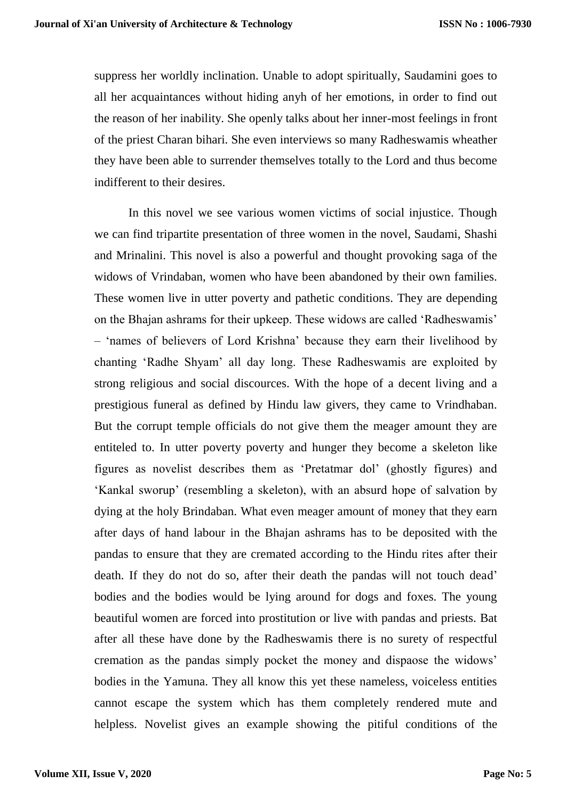suppress her worldly inclination. Unable to adopt spiritually, Saudamini goes to all her acquaintances without hiding anyh of her emotions, in order to find out the reason of her inability. She openly talks about her inner-most feelings in front of the priest Charan bihari. She even interviews so many Radheswamis wheather they have been able to surrender themselves totally to the Lord and thus become indifferent to their desires.

In this novel we see various women victims of social injustice. Though we can find tripartite presentation of three women in the novel, Saudami, Shashi and Mrinalini. This novel is also a powerful and thought provoking saga of the widows of Vrindaban, women who have been abandoned by their own families. These women live in utter poverty and pathetic conditions. They are depending on the Bhajan ashrams for their upkeep. These widows are called 'Radheswamis' – 'names of believers of Lord Krishna' because they earn their livelihood by chanting 'Radhe Shyam' all day long. These Radheswamis are exploited by strong religious and social discources. With the hope of a decent living and a prestigious funeral as defined by Hindu law givers, they came to Vrindhaban. But the corrupt temple officials do not give them the meager amount they are entiteled to. In utter poverty poverty and hunger they become a skeleton like figures as novelist describes them as 'Pretatmar dol' (ghostly figures) and 'Kankal sworup' (resembling a skeleton), with an absurd hope of salvation by dying at the holy Brindaban. What even meager amount of money that they earn after days of hand labour in the Bhajan ashrams has to be deposited with the pandas to ensure that they are cremated according to the Hindu rites after their death. If they do not do so, after their death the pandas will not touch dead' bodies and the bodies would be lying around for dogs and foxes. The young beautiful women are forced into prostitution or live with pandas and priests. Bat after all these have done by the Radheswamis there is no surety of respectful cremation as the pandas simply pocket the money and dispaose the widows' bodies in the Yamuna. They all know this yet these nameless, voiceless entities cannot escape the system which has them completely rendered mute and helpless. Novelist gives an example showing the pitiful conditions of the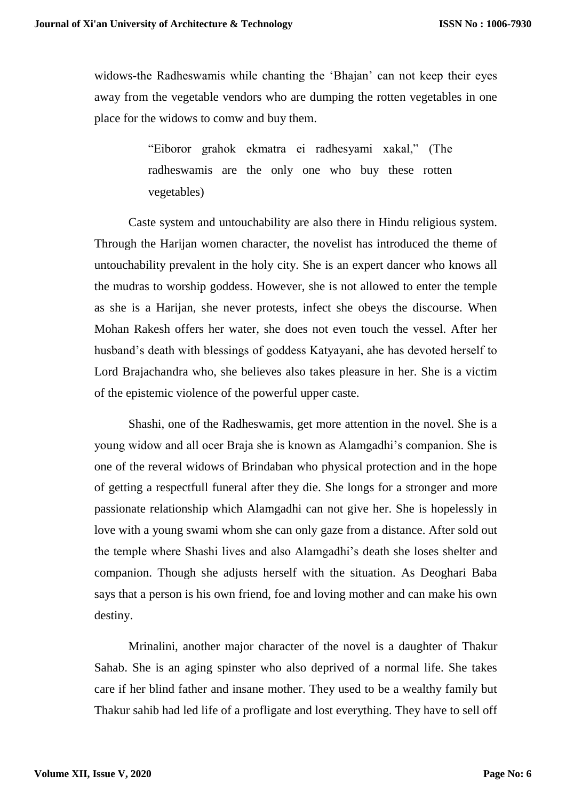widows-the Radheswamis while chanting the 'Bhajan' can not keep their eyes away from the vegetable vendors who are dumping the rotten vegetables in one place for the widows to comw and buy them.

> "Eiboror grahok ekmatra ei radhesyami xakal," (The radheswamis are the only one who buy these rotten vegetables)

Caste system and untouchability are also there in Hindu religious system. Through the Harijan women character, the novelist has introduced the theme of untouchability prevalent in the holy city. She is an expert dancer who knows all the mudras to worship goddess. However, she is not allowed to enter the temple as she is a Harijan, she never protests, infect she obeys the discourse. When Mohan Rakesh offers her water, she does not even touch the vessel. After her husband's death with blessings of goddess Katyayani, ahe has devoted herself to Lord Brajachandra who, she believes also takes pleasure in her. She is a victim of the epistemic violence of the powerful upper caste.

Shashi, one of the Radheswamis, get more attention in the novel. She is a young widow and all ocer Braja she is known as Alamgadhi's companion. She is one of the reveral widows of Brindaban who physical protection and in the hope of getting a respectfull funeral after they die. She longs for a stronger and more passionate relationship which Alamgadhi can not give her. She is hopelessly in love with a young swami whom she can only gaze from a distance. After sold out the temple where Shashi lives and also Alamgadhi's death she loses shelter and companion. Though she adjusts herself with the situation. As Deoghari Baba says that a person is his own friend, foe and loving mother and can make his own destiny.

Mrinalini, another major character of the novel is a daughter of Thakur Sahab. She is an aging spinster who also deprived of a normal life. She takes care if her blind father and insane mother. They used to be a wealthy family but Thakur sahib had led life of a profligate and lost everything. They have to sell off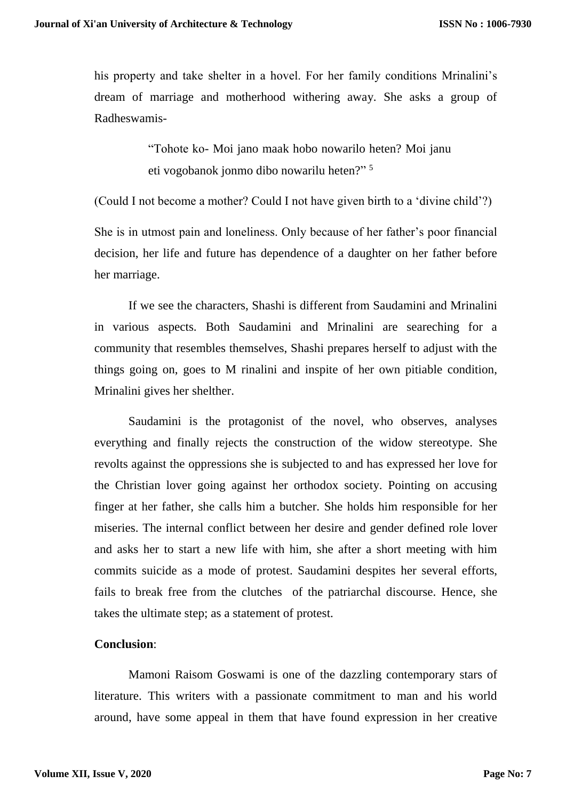his property and take shelter in a hovel. For her family conditions Mrinalini's dream of marriage and motherhood withering away. She asks a group of Radheswamis-

> "Tohote ko- Moi jano maak hobo nowarilo heten? Moi janu eti vogobanok jonmo dibo nowarilu heten?" <sup>5</sup>

(Could I not become a mother? Could I not have given birth to a 'divine child'?)

She is in utmost pain and loneliness. Only because of her father's poor financial decision, her life and future has dependence of a daughter on her father before her marriage.

If we see the characters, Shashi is different from Saudamini and Mrinalini in various aspects. Both Saudamini and Mrinalini are seareching for a community that resembles themselves, Shashi prepares herself to adjust with the things going on, goes to M rinalini and inspite of her own pitiable condition, Mrinalini gives her shelther.

Saudamini is the protagonist of the novel, who observes, analyses everything and finally rejects the construction of the widow stereotype. She revolts against the oppressions she is subjected to and has expressed her love for the Christian lover going against her orthodox society. Pointing on accusing finger at her father, she calls him a butcher. She holds him responsible for her miseries. The internal conflict between her desire and gender defined role lover and asks her to start a new life with him, she after a short meeting with him commits suicide as a mode of protest. Saudamini despites her several efforts, fails to break free from the clutches of the patriarchal discourse. Hence, she takes the ultimate step; as a statement of protest.

## **Conclusion**:

Mamoni Raisom Goswami is one of the dazzling contemporary stars of literature. This writers with a passionate commitment to man and his world around, have some appeal in them that have found expression in her creative